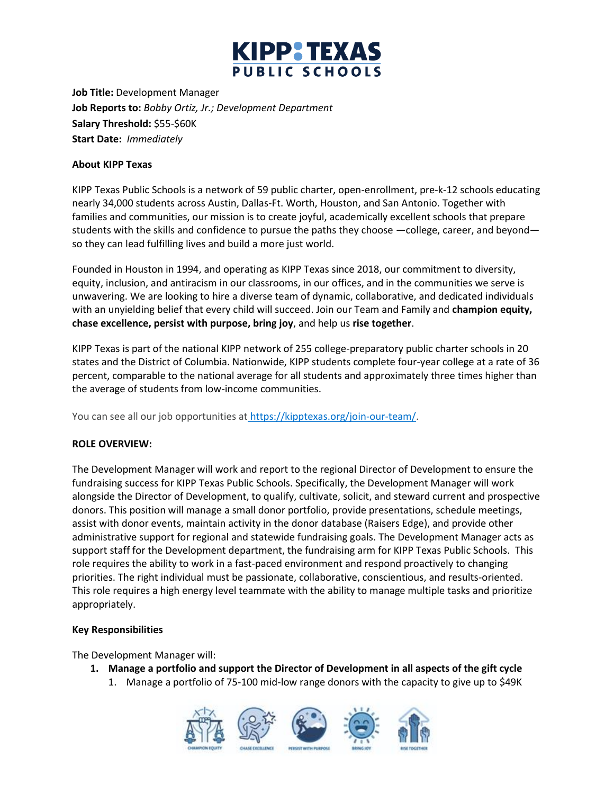

**Job Title:** Development Manager **Job Reports to:** *Bobby Ortiz, Jr.; Development Department* **Salary Threshold:** \$55-\$60K **Start Date:** *Immediately*

# **About KIPP Texas**

KIPP Texas Public Schools is a network of 59 public charter, open-enrollment, pre-k-12 schools educating nearly 34,000 students across Austin, Dallas-Ft. Worth, Houston, and San Antonio. Together with families and communities, our mission is to create joyful, academically excellent schools that prepare students with the skills and confidence to pursue the paths they choose —college, career, and beyond so they can lead fulfilling lives and build a more just world.

Founded in Houston in 1994, and operating as KIPP Texas since 2018, our commitment to diversity, equity, inclusion, and antiracism in our classrooms, in our offices, and in the communities we serve is unwavering. We are looking to hire a diverse team of dynamic, collaborative, and dedicated individuals with an unyielding belief that every child will succeed. Join our Team and Family and **champion equity, chase excellence, persist with purpose, bring joy**, and help us **rise together**.

KIPP Texas is part of the national KIPP network of 255 college-preparatory public charter schools in 20 states and the District of Columbia. Nationwide, KIPP students complete four-year college at a rate of 36 percent, comparable to the national average for all students and approximately three times higher than the average of students from low-income communities.

You can see all our job opportunities at [https://kipptexas.org/join-our-team/.](https://kipptexas.org/join-our-team/)

# **ROLE OVERVIEW:**

The Development Manager will work and report to the regional Director of Development to ensure the fundraising success for KIPP Texas Public Schools. Specifically, the Development Manager will work alongside the Director of Development, to qualify, cultivate, solicit, and steward current and prospective donors. This position will manage a small donor portfolio, provide presentations, schedule meetings, assist with donor events, maintain activity in the donor database (Raisers Edge), and provide other administrative support for regional and statewide fundraising goals. The Development Manager acts as support staff for the Development department, the fundraising arm for KIPP Texas Public Schools. This role requires the ability to work in a fast-paced environment and respond proactively to changing priorities. The right individual must be passionate, collaborative, conscientious, and results-oriented. This role requires a high energy level teammate with the ability to manage multiple tasks and prioritize appropriately.

## **Key Responsibilities**

The Development Manager will:

- **1. Manage a portfolio and support the Director of Development in all aspects of the gift cycle**
	- 1. Manage a portfolio of 75-100 mid-low range donors with the capacity to give up to \$49K

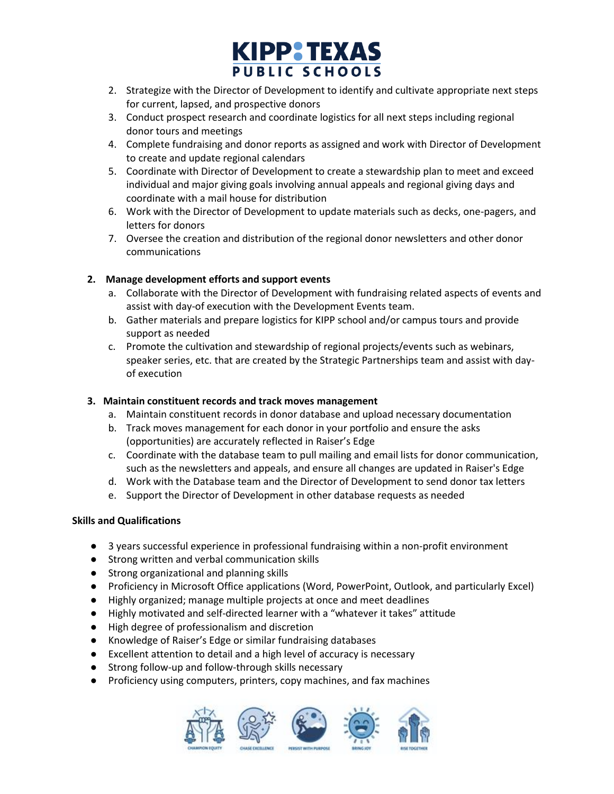

- 2. Strategize with the Director of Development to identify and cultivate appropriate next steps for current, lapsed, and prospective donors
- 3. Conduct prospect research and coordinate logistics for all next steps including regional donor tours and meetings
- 4. Complete fundraising and donor reports as assigned and work with Director of Development to create and update regional calendars
- 5. Coordinate with Director of Development to create a stewardship plan to meet and exceed individual and major giving goals involving annual appeals and regional giving days and coordinate with a mail house for distribution
- 6. Work with the Director of Development to update materials such as decks, one-pagers, and letters for donors
- 7. Oversee the creation and distribution of the regional donor newsletters and other donor communications

# **2. Manage development efforts and support events**

- a. Collaborate with the Director of Development with fundraising related aspects of events and assist with day-of execution with the Development Events team.
- b. Gather materials and prepare logistics for KIPP school and/or campus tours and provide support as needed
- c. Promote the cultivation and stewardship of regional projects/events such as webinars, speaker series, etc. that are created by the Strategic Partnerships team and assist with dayof execution

# **3. Maintain constituent records and track moves management**

- a. Maintain constituent records in donor database and upload necessary documentation
- b. Track moves management for each donor in your portfolio and ensure the asks (opportunities) are accurately reflected in Raiser's Edge
- c. Coordinate with the database team to pull mailing and email lists for donor communication, such as the newsletters and appeals, and ensure all changes are updated in Raiser's Edge
- d. Work with the Database team and the Director of Development to send donor tax letters
- e. Support the Director of Development in other database requests as needed

## **Skills and Qualifications**

- 3 years successful experience in professional fundraising within a non-profit environment
- Strong written and verbal communication skills
- Strong organizational and planning skills
- Proficiency in Microsoft Office applications (Word, PowerPoint, Outlook, and particularly Excel)
- Highly organized; manage multiple projects at once and meet deadlines
- Highly motivated and self-directed learner with a "whatever it takes" attitude
- High degree of professionalism and discretion
- Knowledge of Raiser's Edge or similar fundraising databases
- Excellent attention to detail and a high level of accuracy is necessary
- Strong follow-up and follow-through skills necessary
- Proficiency using computers, printers, copy machines, and fax machines